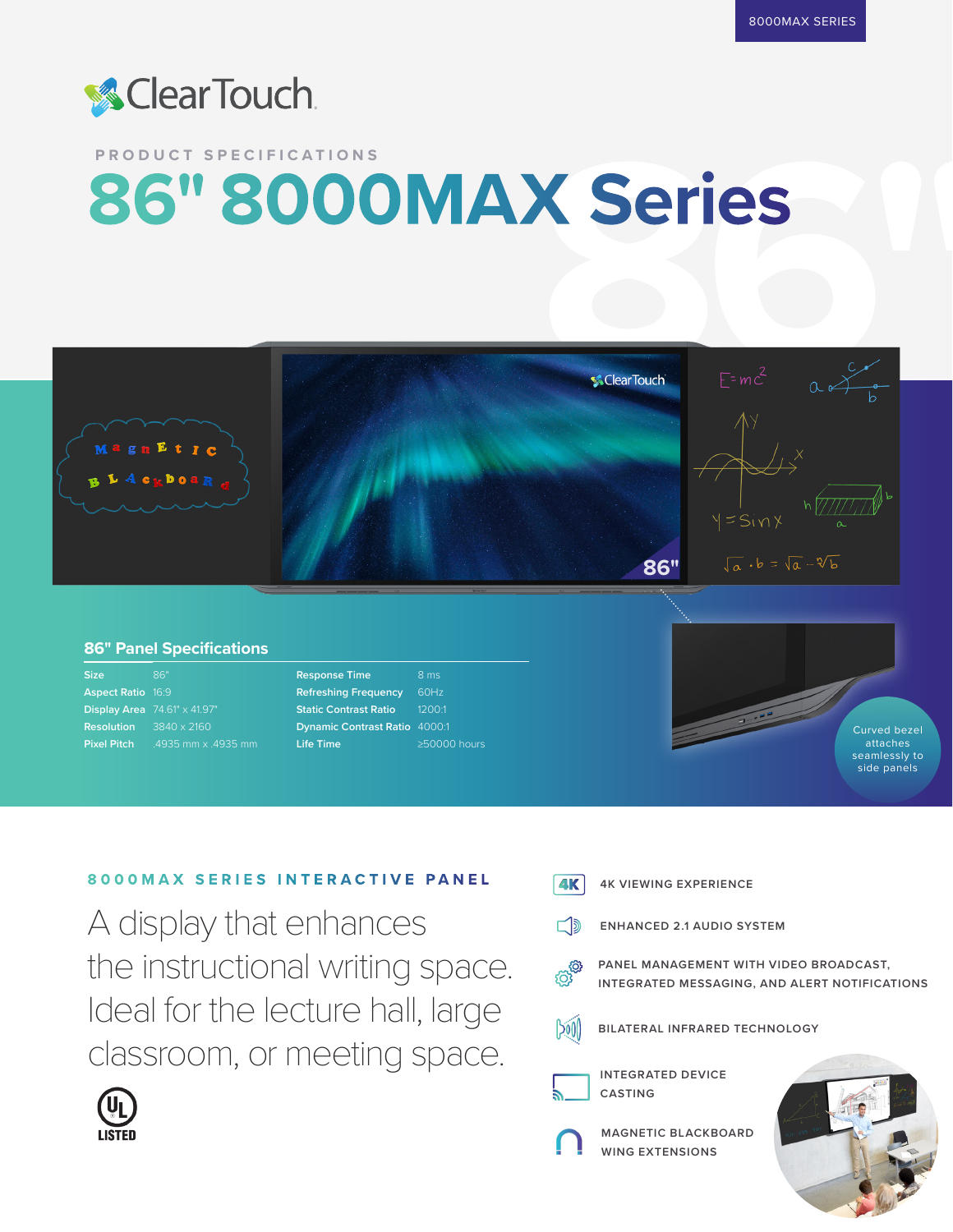

## **PRODUCT SPECIFICATIONS 86" 8000MAX Series**



## **86" Panel Specifications**

| <b>Size</b>                          | 86"                                          |
|--------------------------------------|----------------------------------------------|
| <b>Aspect Ratio 16:9</b>             |                                              |
|                                      | <b>Display Area</b> $74.61'' \times 41.97''$ |
| <b>Resolution</b> $3840 \times 2160$ |                                              |
| <b>Pixel Pitch</b>                   | .4935 mm x .4935 mm                          |

| <b>Response Time</b>                 | 8 <sub>ms</sub>    |
|--------------------------------------|--------------------|
| <b>Refreshing Frequency</b>          | 60Hz               |
| <b>Static Contrast Ratio</b>         | 1200:1             |
| <b>Dynamic Contrast Ratio 4000:1</b> |                    |
| <b>Life Time</b>                     | $\geq$ 50000 hours |



## **8000MAX SERIES INTERACTIVE PANEL**

A display that enhances the instructional writing space. Ideal for the lecture hall, large classroom, or meeting space.